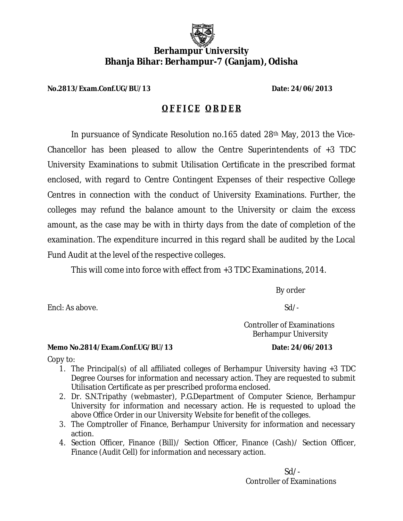

## **Bhanja Bihar: Berhampur Bhanja Bihar: Berhampur-7 (Ganjam), Odisha Berhampur University**

**No.2813/Exam.Conf.UG/BU/13 /Exam.Conf.UG/BU/13 Date: 24/06/2013**

## **O F F I C E O R D E R**

In pursuance of Syndicate Resolution no.165 dated 28<sup>th</sup> May, 2013 the Vice-Chancellor has been pleased to allow the Centre Superintendents of +3 TDC Chancellor has been pleased to allow the Centre Superintendents of +3 TDC<br>University Examinations to submit Utilisation Certificate in the prescribed format enclosed, with regard to Centre Contingent Expenses of their respective College enclosed, with regard to Centre Contingent Expenses of their respective College<br>Centres in connection with the conduct of University Examinations. Further, the colleges may refund the balance amount to the University or claim the excess<br>amount, as the case may be with in thirty days from the date of completion of the amount, as the case may be with in thirty days from the date of completion of the examination. The expenditure incurred in this regard shall be audited by the Local Fund Audit at the level of the respective colleges.

This will come into force with effect from +3 TDC Examinations, 2014.<br>By order

 $Sd$  /-

 Controller of Examinations Berhampur University

Encl: As above.

**Memo No.2814/Exam.Conf.UG/BU/13 /Exam.Conf.UG/BU/13 Date: 24/06/2013**

Copy to:

- 1. The Principal(s) of all affiliated colleges of Berhampur University having +3 TDC Degree Courses for information and necessary action. They are requested to submit Utilisation Certificate as per prescribed proforma enclosed.
- 2. Dr. S.N.Tripathy (webmaster), P.G.Department of Computer Science, Berhampur University for information and necessary action. He is requested to upload the above Office Order in our University Website for benefit of the colleges. rses for information and necessary action. They are requested to submit<br>Certificate as per prescribed proforma enclosed.<br>)<br>athy (webmaster), P.G.Department of Computer Science, Berhampur<br>for information and necessary actio ll be audited by the Local<br>aminations, 2014.<br>By order<br>Sd/-<br>roller of Examinations<br>rhampur University<br>Date: 24/06/2013<br>r University having +3 TDC<br>hey are requested to submit<br>ed.<br>nputer Science, Berhampur<br>is requested to upl
- 3. The Comptroller of Finance, Berhampur University for information and necessary action. Office Order in our University Website for benefit of the colleges.<br>omptroller of Finance, Berhampur University for information and<br>1 Officer, Finance (Bill)/ Section Officer, Finance (Cash)/ Sectio
- 4. Section Officer, Finance (Bill) / Section Officer, Finance (Cash) / Section Officer, Finance (Audit Cell) for information and necessary action.